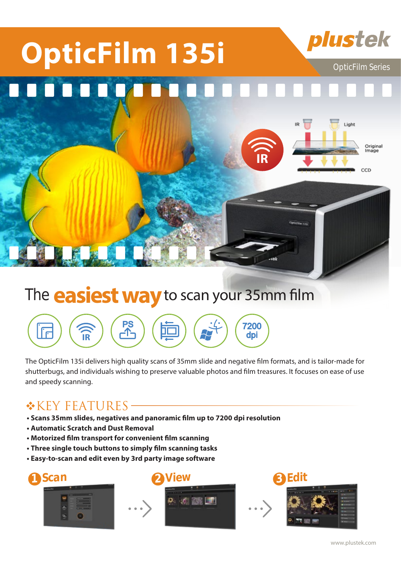

## The **easiest way** to scan your 35mm film



The OpticFilm 135i delivers high quality scans of 35mm slide and negative film formats, and is tailor-made for shutterbugs, and individuals wishing to preserve valuable photos and film treasures. It focuses on ease of use and speedy scanning.

### **\*KEY FEATURES-**

- **Scans 35mm slides, negatives and panoramic film up to 7200 dpi resolution**
- **Automatic Scratch and Dust Removal**
- **Motorized film transport for convenient film scanning**
- **Three single touch buttons to simply film scanning tasks**
- **Easy-to-scan and edit even by 3rd party image software**